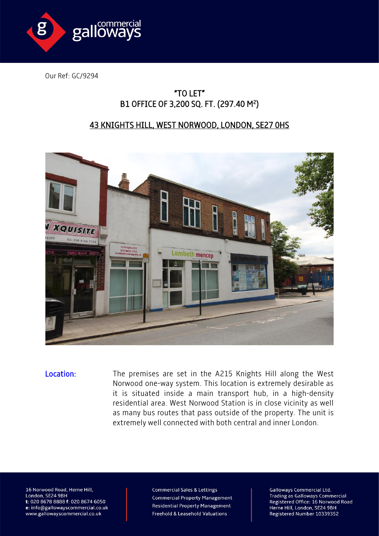

Our Ref: GC/9294

## "TO LET" B1 OFFICE OF 3,200 SQ. FT. (297.40 M<sup>2</sup>)

## 43 KNIGHTS HILL, WEST NORWOOD, LONDON, SE27 0HS



Location: The premises are set in the A215 Knights Hill along the West Norwood one-way system. This location is extremely desirable as it is situated inside a main transport hub, in a high-density residential area. West Norwood Station is in close vicinity as well as many bus routes that pass outside of the property. The unit is extremely well connected with both central and inner London.

16 Norwood Road, Herne Hill, London, SE24 9BH t: 020 8678 8888 f: 020 8674 6050 e: info@gallowayscommercial.co.uk www.gallowayscommercial.co.uk

**Commercial Sales & Lettings Commercial Property Management Residential Property Management** Freehold & Leasehold Valuations

**Galloways Commercial Ltd. Trading as Galloways Commercial** Registered Office: 16 Norwood Road Herne Hill, London, SE24 9BH Registered Number 10339352